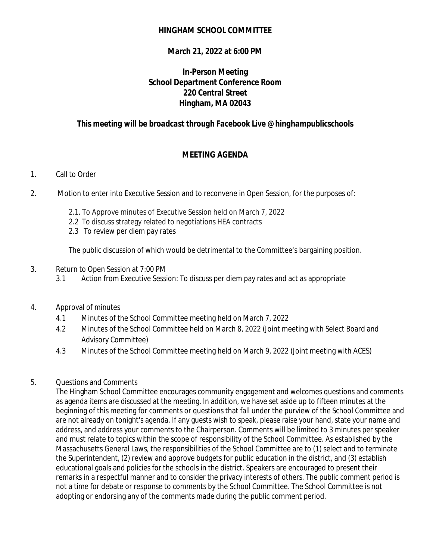## **HINGHAM SCHOOL COMMITTEE**

## **March 21, 2022 at 6:00 PM**

# **In-Person Meeting School Department Conference Room 220 Central Street Hingham, MA 02043**

# *This meeting will be broadcast through Facebook Live @hinghampublicschools*

## **MEETING AGENDA**

#### 1. Call to Order

- 2. Motion to enter into Executive Session and to reconvene in Open Session, for the purposes of:
	- 2.1. To Approve minutes of Executive Session held on March 7, 2022
	- 2.2 To discuss strategy related to negotiations HEA contracts
	- 2.3 To review per diem pay rates

The public discussion of which would be detrimental to the Committee's bargaining position.

- 3. Return to Open Session at 7:00 PM
	- 3.1 Action from Executive Session: To discuss per diem pay rates and act as appropriate
- 4. Approval of minutes
	- 4.1 Minutes of the School Committee meeting held on March 7, 2022
	- 4.2 Minutes of the School Committee held on March 8, 2022 (Joint meeting with Select Board and Advisory Committee)
	- 4.3 Minutes of the School Committee meeting held on March 9, 2022 (Joint meeting with ACES)

#### 5. Questions and Comments

The Hingham School Committee encourages community engagement and welcomes questions and comments as agenda items are discussed at the meeting. In addition, we have set aside up to fifteen minutes at the beginning of this meeting for comments or questions that fall under the purview of the School Committee and are not already on tonight's agenda. If any guests wish to speak, please raise your hand, state your name and address, and address your comments to the Chairperson. Comments will be limited to 3 minutes per speaker and must relate to topics within the scope of responsibility of the School Committee. As established by the Massachusetts General Laws, the responsibilities of the School Committee are to (1) select and to terminate the Superintendent, (2) review and approve budgets for public education in the district, and (3) establish educational goals and policies for the schools in the district. Speakers are encouraged to present their remarks in a respectful manner and to consider the privacy interests of others. The public comment period is not a time for debate or response to comments by the School Committee. The School Committee is not adopting or endorsing any of the comments made during the public comment period.